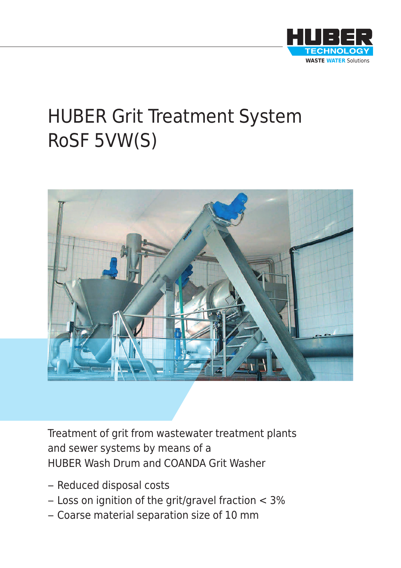

# HUBER Grit Treatment System RoSF 5VW(S)



Treatment of grit from wastewater treatment plants and sewer systems by means of a HUBER Wash Drum and COANDA Grit Washer

- Reduced disposal costs
- Loss on ignition of the grit/gravel fraction < 3%
- Coarse material separation size of 10 mm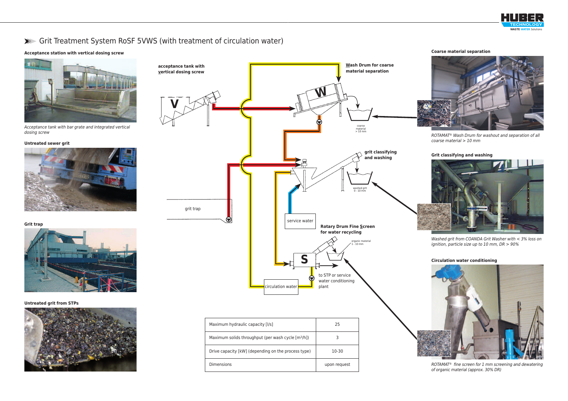#### **Untreated sewer grit**



**Grit trap**



**Untreated grit from STPs**



### **Acceptance station with vertical dosing screw**



*Acceptance tank with bar grate and integrated vertical dosing screw*

## ➤➤➤ Grit Treatment System RoSF 5VWS (with treatment of circulation water)



**Coarse material separation**